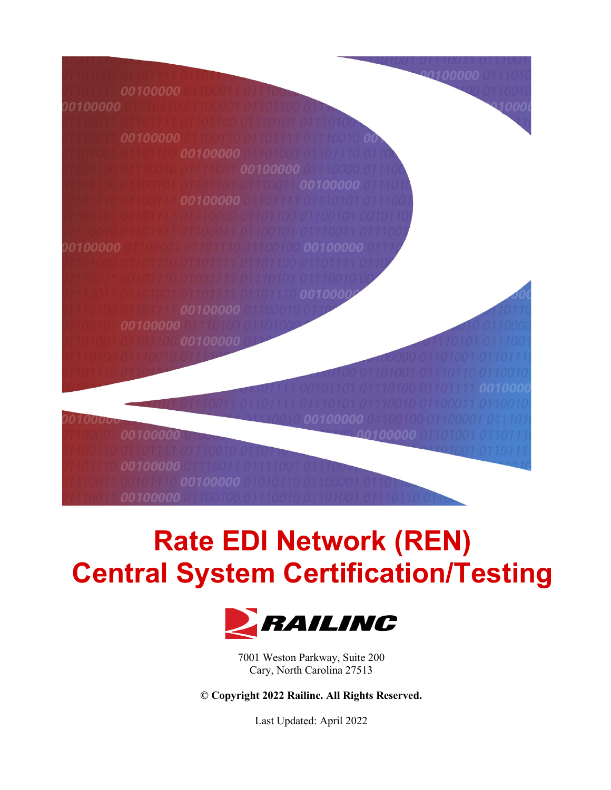

*00100000* 

# **Rate EDI Network (REN) Central System Certification/Testing**



7001 Weston Parkway, Suite 200 Cary, North Carolina 27513

**© Copyright 2022 Railinc. All Rights Reserved.**

Last Updated: April 2022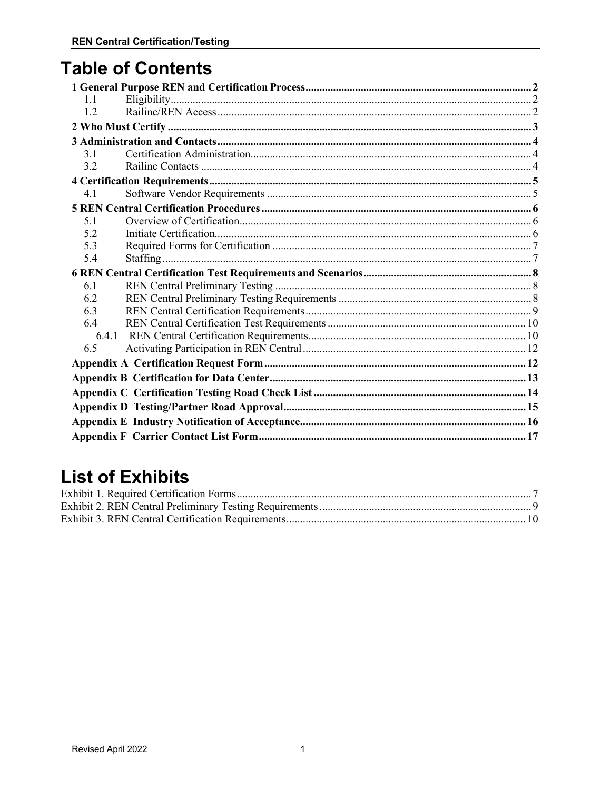# **Table of Contents**

| 1.1   |  |
|-------|--|
| 1.2   |  |
|       |  |
|       |  |
| 3.1   |  |
| 3.2   |  |
|       |  |
| 4.1   |  |
|       |  |
| 5.1   |  |
| 5.2   |  |
| 5.3   |  |
| 5.4   |  |
|       |  |
|       |  |
| 6.1   |  |
| 6.2   |  |
| 6.3   |  |
| 6.4   |  |
| 6.4.1 |  |
| 6.5   |  |
|       |  |
|       |  |
|       |  |
|       |  |
|       |  |

# **List of Exhibits**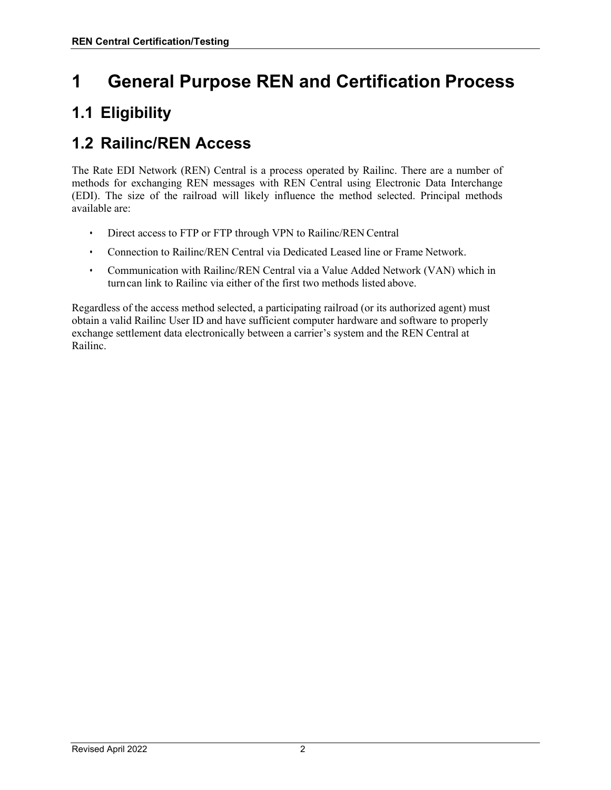# <span id="page-2-0"></span>**1 General Purpose REN and Certification Process**

## <span id="page-2-1"></span>**1.1 Eligibility**

#### <span id="page-2-2"></span>**1.2 Railinc/REN Access**

The Rate EDI Network (REN) Central is a process operated by Railinc. There are a number of methods for exchanging REN messages with REN Central using Electronic Data Interchange (EDI). The size of the railroad will likely influence the method selected. Principal methods available are:

- Direct access to FTP or FTP through VPN to Railinc/REN Central
- Connection to Railinc/REN Central via Dedicated Leased line or Frame Network.
- Communication with Railinc/REN Central via a Value Added Network (VAN) which in turncan link to Railinc via either of the first two methods listed above.

Regardless of the access method selected, a participating railroad (or its authorized agent) must obtain a valid Railinc User ID and have sufficient computer hardware and software to properly exchange settlement data electronically between a carrier's system and the REN Central at Railinc.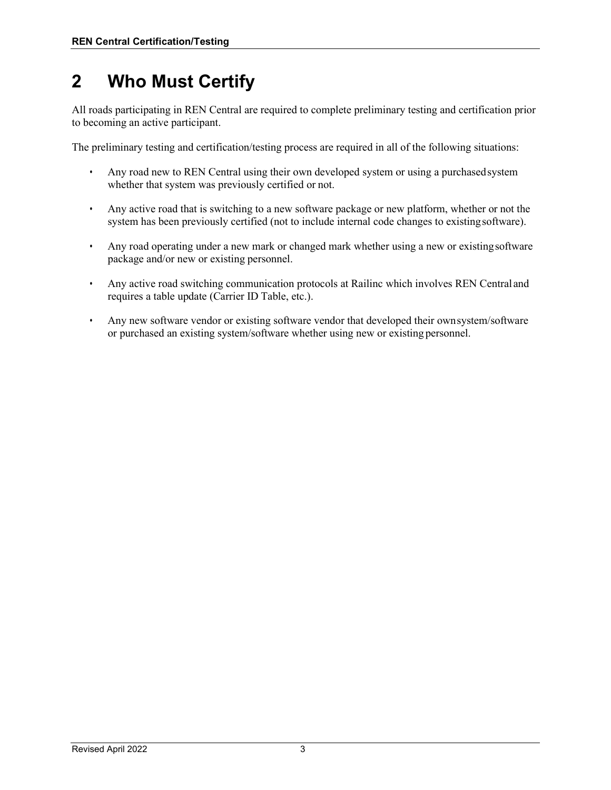# <span id="page-3-0"></span>**2 Who Must Certify**

All roads participating in REN Central are required to complete preliminary testing and certification prior to becoming an active participant.

The preliminary testing and certification/testing process are required in all of the following situations:

- Any road new to REN Central using their own developed system or using a purchasedsystem whether that system was previously certified or not.
- Any active road that is switching to a new software package or new platform, whether or not the system has been previously certified (not to include internal code changes to existingsoftware).
- Any road operating under a new mark or changed mark whether using a new or existingsoftware package and/or new or existing personnel.
- Any active road switching communication protocols at Railinc which involves REN Central and requires a table update (Carrier ID Table, etc.).
- Any new software vendor or existing software vendor that developed their ownsystem/software or purchased an existing system/software whether using new or existing personnel.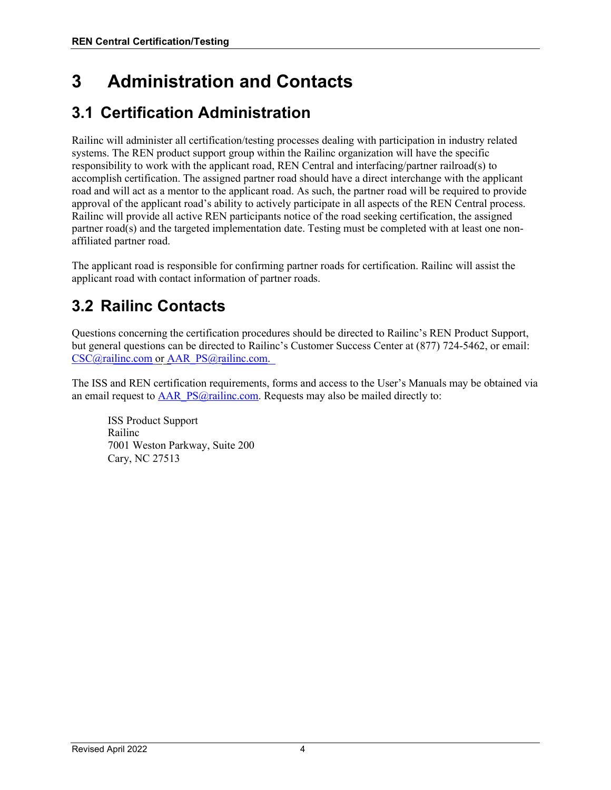# <span id="page-4-0"></span>**3 Administration and Contacts**

### <span id="page-4-1"></span>**3.1 Certification Administration**

Railinc will administer all certification/testing processes dealing with participation in industry related systems. The REN product support group within the Railinc organization will have the specific responsibility to work with the applicant road, REN Central and interfacing/partner railroad(s) to accomplish certification. The assigned partner road should have a direct interchange with the applicant road and will act as a mentor to the applicant road. As such, the partner road will be required to provide approval of the applicant road's ability to actively participate in all aspects of the REN Central process. Railinc will provide all active REN participants notice of the road seeking certification, the assigned partner road(s) and the targeted implementation date. Testing must be completed with at least one nonaffiliated partner road.

The applicant road is responsible for confirming partner roads for certification. Railinc will assist the applicant road with contact information of partner roads.

## <span id="page-4-2"></span>**3.2 Railinc Contacts**

Questions concerning the certification procedures should be directed to Railinc's REN Product Support, but general questions can be directed to Railinc's Customer Success Center at (877) 724-5462, or email: [CSC@railinc.com](mailto:CSC@railinc.com) or [AAR\\_PS@railinc.com.](mailto:AAR_PS@railinc.com)

The ISS and REN certification requirements, forms and access to the User's Manuals may be obtained via an email request to [AAR\\_PS@railinc.com.](mailto:AAR_PS@railinc.com) Requests may also be mailed directly to:

ISS Product Support Railinc 7001 Weston Parkway, Suite 200 Cary, NC 27513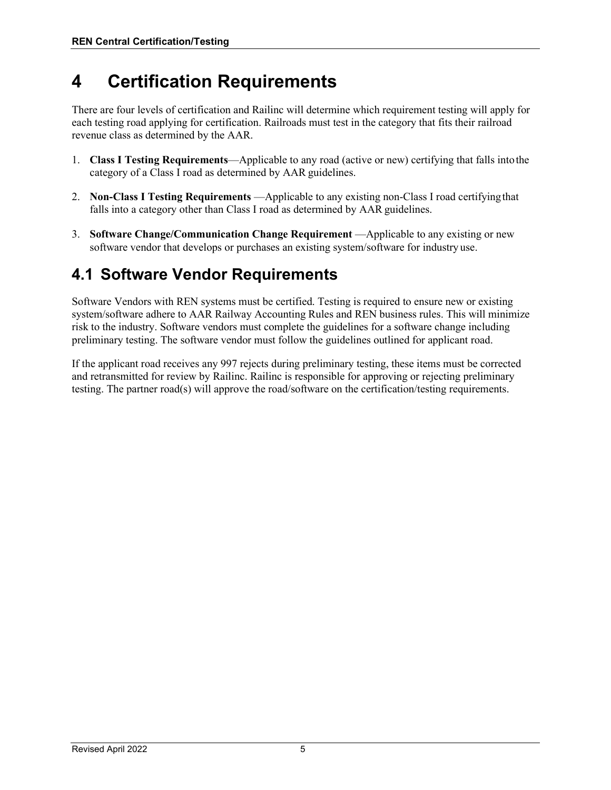# <span id="page-5-0"></span>**4 Certification Requirements**

There are four levels of certification and Railinc will determine which requirement testing will apply for each testing road applying for certification. Railroads must test in the category that fits their railroad revenue class as determined by the AAR.

- 1. **Class I Testing Requirements**—Applicable to any road (active or new) certifying that falls intothe category of a Class I road as determined by AAR guidelines.
- 2. **Non-Class I Testing Requirements** —Applicable to any existing non-Class I road certifyingthat falls into a category other than Class I road as determined by AAR guidelines.
- 3. **Software Change/Communication Change Requirement** —Applicable to any existing or new software vendor that develops or purchases an existing system/software for industry use.

#### <span id="page-5-1"></span>**4.1 Software Vendor Requirements**

Software Vendors with REN systems must be certified. Testing is required to ensure new or existing system/software adhere to AAR Railway Accounting Rules and REN business rules. This will minimize risk to the industry. Software vendors must complete the guidelines for a software change including preliminary testing. The software vendor must follow the guidelines outlined for applicant road.

If the applicant road receives any 997 rejects during preliminary testing, these items must be corrected and retransmitted for review by Railinc. Railinc is responsible for approving or rejecting preliminary testing. The partner road(s) will approve the road/software on the certification/testing requirements.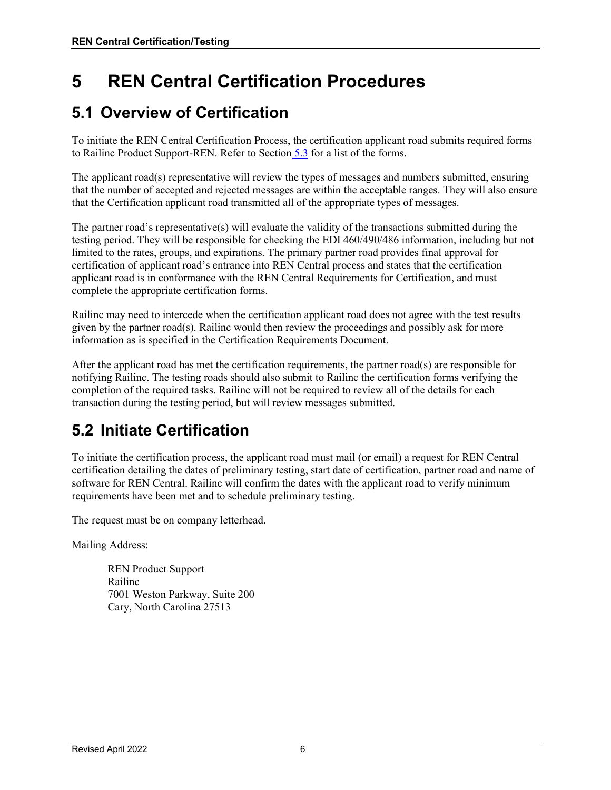# <span id="page-6-0"></span>**5 REN Central Certification Procedures**

#### <span id="page-6-1"></span>**5.1 Overview of Certification**

To initiate the REN Central Certification Process, the certification applicant road submits required forms to Railinc Product Support-REN. Refer to Section 5.3 for a list of the forms.

The applicant road(s) representative will review the types of messages and numbers submitted, ensuring that the number of accepted and rejected messages are within the acceptable ranges. They will also ensure that the Certification applicant road transmitted all of the appropriate types of messages.

The partner road's representative(s) will evaluate the validity of the transactions submitted during the testing period. They will be responsible for checking the EDI 460/490/486 information, including but not limited to the rates, groups, and expirations. The primary partner road provides final approval for certification of applicant road's entrance into REN Central process and states that the certification applicant road is in conformance with the REN Central Requirements for Certification, and must complete the appropriate certification forms.

Railinc may need to intercede when the certification applicant road does not agree with the test results given by the partner road(s). Railinc would then review the proceedings and possibly ask for more information as is specified in the Certification Requirements Document.

After the applicant road has met the certification requirements, the partner road(s) are responsible for notifying Railinc. The testing roads should also submit to Railinc the certification forms verifying the completion of the required tasks. Railinc will not be required to review all of the details for each transaction during the testing period, but will review messages submitted.

## <span id="page-6-2"></span>**5.2 Initiate Certification**

To initiate the certification process, the applicant road must mail (or email) a request for REN Central certification detailing the dates of preliminary testing, start date of certification, partner road and name of software for REN Central. Railinc will confirm the dates with the applicant road to verify minimum requirements have been met and to schedule preliminary testing.

The request must be on company letterhead.

Mailing Address:

REN Product Support Railinc 7001 Weston Parkway, Suite 200 Cary, North Carolina 27513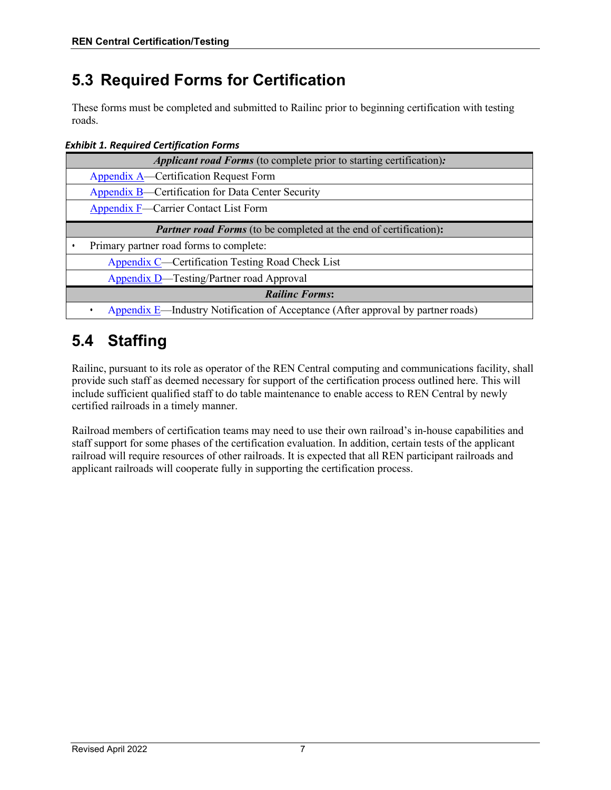### <span id="page-7-0"></span>**5.3 Required Forms for Certification**

These forms must be completed and submitted to Railinc prior to beginning certification with testing roads.

<span id="page-7-2"></span>*Exhibit 1. Required Certification Forms*

| <b>Applicant road Forms</b> (to complete prior to starting certification):       |  |  |  |
|----------------------------------------------------------------------------------|--|--|--|
| Appendix A—Certification Request Form                                            |  |  |  |
| Appendix B—Certification for Data Center Security                                |  |  |  |
| Appendix F—Carrier Contact List Form                                             |  |  |  |
| <b>Partner road Forms</b> (to be completed at the end of certification):         |  |  |  |
| Primary partner road forms to complete:                                          |  |  |  |
| Appendix C—Certification Testing Road Check List                                 |  |  |  |
| Appendix D—Testing/Partner road Approval                                         |  |  |  |
| <b>Railinc Forms:</b>                                                            |  |  |  |
| Appendix E—Industry Notification of Acceptance (After approval by partner roads) |  |  |  |

### <span id="page-7-1"></span>**5.4 Staffing**

Railinc, pursuant to its role as operator of the REN Central computing and communications facility, shall provide such staff as deemed necessary for support of the certification process outlined here. This will include sufficient qualified staff to do table maintenance to enable access to REN Central by newly certified railroads in a timely manner.

Railroad members of certification teams may need to use their own railroad's in-house capabilities and staff support for some phases of the certification evaluation. In addition, certain tests of the applicant railroad will require resources of other railroads. It is expected that all REN participant railroads and applicant railroads will cooperate fully in supporting the certification process.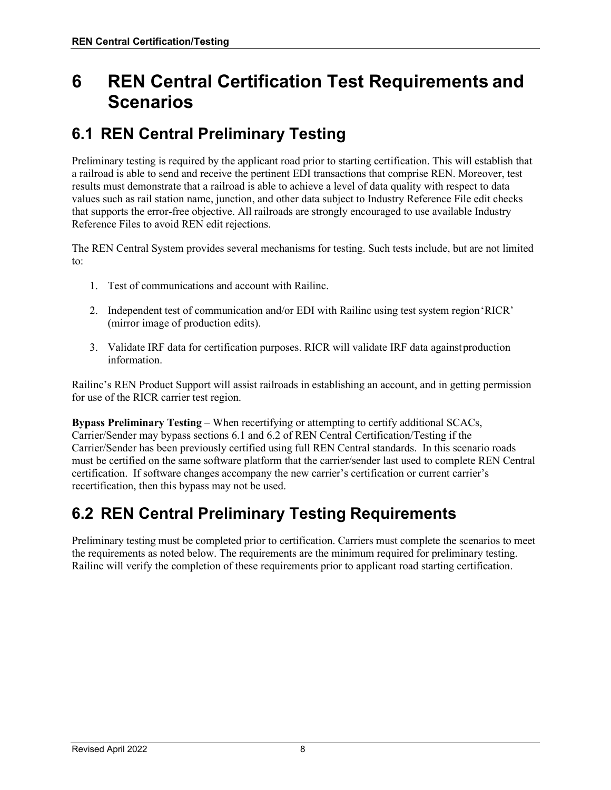# <span id="page-8-0"></span>**6 REN Central Certification Test Requirements and Scenarios**

### <span id="page-8-1"></span>**6.1 REN Central Preliminary Testing**

Preliminary testing is required by the applicant road prior to starting certification. This will establish that a railroad is able to send and receive the pertinent EDI transactions that comprise REN. Moreover, test results must demonstrate that a railroad is able to achieve a level of data quality with respect to data values such as rail station name, junction, and other data subject to Industry Reference File edit checks that supports the error-free objective. All railroads are strongly encouraged to use available Industry Reference Files to avoid REN edit rejections.

The REN Central System provides several mechanisms for testing. Such tests include, but are not limited to:

- 1. Test of communications and account with Railinc.
- 2. Independent test of communication and/or EDI with Railinc using test system region'RICR' (mirror image of production edits).
- 3. Validate IRF data for certification purposes. RICR will validate IRF data againstproduction information.

Railinc's REN Product Support will assist railroads in establishing an account, and in getting permission for use of the RICR carrier test region.

**Bypass Preliminary Testing** – When recertifying or attempting to certify additional SCACs, Carrier/Sender may bypass sections 6.1 and 6.2 of REN Central Certification/Testing if the Carrier/Sender has been previously certified using full REN Central standards. In this scenario roads must be certified on the same software platform that the carrier/sender last used to complete REN Central certification. If software changes accompany the new carrier's certification or current carrier's recertification, then this bypass may not be used.

#### <span id="page-8-2"></span>**6.2 REN Central Preliminary Testing Requirements**

Preliminary testing must be completed prior to certification. Carriers must complete the scenarios to meet the requirements as noted below. The requirements are the minimum required for preliminary testing. Railinc will verify the completion of these requirements prior to applicant road starting certification.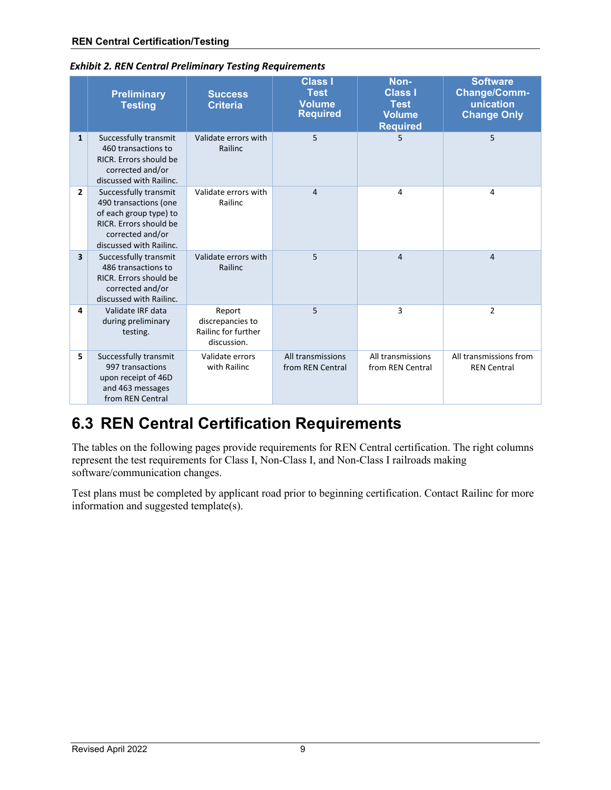|                         | <b>Preliminary</b><br><b>Testing</b>                                                                                                              | <b>Success</b><br><b>Criteria</b>                                | <b>Class I</b><br><b>Test</b><br><b>Volume</b><br><b>Required</b> | Non-<br><b>Class I</b><br><b>Test</b><br><b>Volume</b><br><b>Required</b> | <b>Software</b><br>Change/Comm-<br>unication<br><b>Change Only</b> |
|-------------------------|---------------------------------------------------------------------------------------------------------------------------------------------------|------------------------------------------------------------------|-------------------------------------------------------------------|---------------------------------------------------------------------------|--------------------------------------------------------------------|
| $\mathbf{1}$            | Successfully transmit<br>460 transactions to<br>RICR. Errors should be<br>corrected and/or<br>discussed with Railinc.                             | Validate errors with<br>Railinc                                  | 5                                                                 | 5                                                                         | 5                                                                  |
| $\overline{2}$          | Successfully transmit<br>490 transactions (one<br>of each group type) to<br>RICR. Errors should be<br>corrected and/or<br>discussed with Railinc. | Validate errors with<br>Railinc                                  | $\overline{4}$                                                    | 4                                                                         | 4                                                                  |
| $\overline{\mathbf{3}}$ | Successfully transmit<br>486 transactions to<br>RICR. Errors should be<br>corrected and/or<br>discussed with Railinc.                             | Validate errors with<br>Railinc                                  | 5                                                                 | $\overline{4}$                                                            | 4                                                                  |
| 4                       | Validate IRF data<br>during preliminary<br>testing.                                                                                               | Report<br>discrepancies to<br>Railinc for further<br>discussion. | 5                                                                 | 3                                                                         | $\overline{2}$                                                     |
| 5                       | Successfully transmit<br>997 transactions<br>upon receipt of 46D<br>and 463 messages<br>from REN Central                                          | Validate errors<br>with Railinc                                  | All transmissions<br>from REN Central                             | All transmissions<br>from REN Central                                     | All transmissions from<br><b>REN Central</b>                       |

<span id="page-9-1"></span>*Exhibit 2. REN Central Preliminary Testing Requirements*

## <span id="page-9-0"></span>**6.3 REN Central Certification Requirements**

The tables on the following pages provide requirements for REN Central certification. The right columns represent the test requirements for Class I, Non-Class I, and Non-Class I railroads making software/communication changes.

Test plans must be completed by applicant road prior to beginning certification. Contact Railinc for more information and suggested template(s).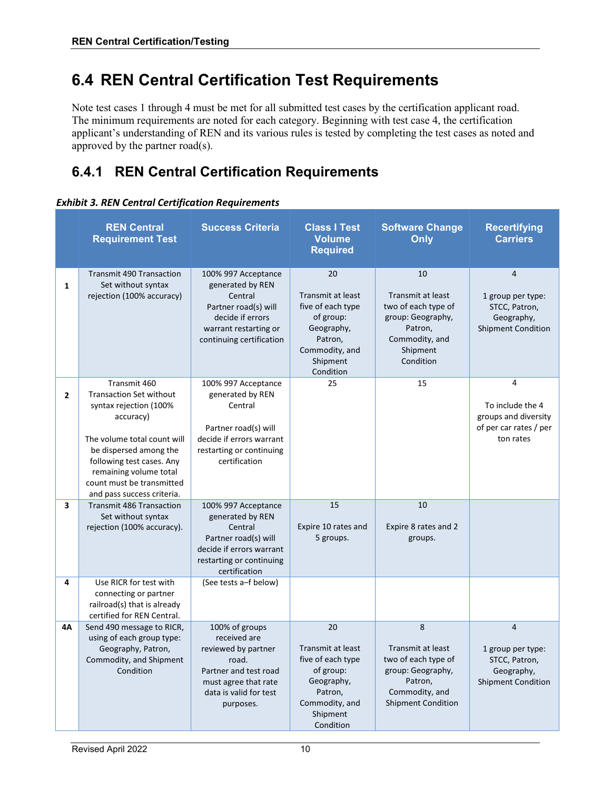#### <span id="page-10-0"></span>**6.4 REN Central Certification Test Requirements**

Note test cases 1 through 4 must be met for all submitted test cases by the certification applicant road. The minimum requirements are noted for each category. Beginning with test case 4, the certification applicant's understanding of REN and its various rules is tested by completing the test cases as noted and approved by the partner road(s).

#### <span id="page-10-1"></span>**6.4.1 REN Central Certification Requirements**

#### <span id="page-10-2"></span>*Exhibit 3. REN Central Certification Requirements*

|                | <b>REN Central</b><br><b>Requirement Test</b>                                                                                                                                                                                                                    | <b>Success Criteria</b>                                                                                                                                | <b>Class I Test</b><br><b>Volume</b><br><b>Required</b>                                                                              | <b>Software Change</b><br>Only                                                                                                      | <b>Recertifying</b><br><b>Carriers</b>                                                          |
|----------------|------------------------------------------------------------------------------------------------------------------------------------------------------------------------------------------------------------------------------------------------------------------|--------------------------------------------------------------------------------------------------------------------------------------------------------|--------------------------------------------------------------------------------------------------------------------------------------|-------------------------------------------------------------------------------------------------------------------------------------|-------------------------------------------------------------------------------------------------|
| $\mathbf{1}$   | <b>Transmit 490 Transaction</b><br>Set without syntax<br>rejection (100% accuracy)                                                                                                                                                                               | 100% 997 Acceptance<br>generated by REN<br>Central<br>Partner road(s) will<br>decide if errors<br>warrant restarting or<br>continuing certification    | 20<br>Transmit at least<br>five of each type<br>of group:<br>Geography,<br>Patron,<br>Commodity, and<br>Shipment<br>Condition        | 10<br>Transmit at least<br>two of each type of<br>group: Geography,<br>Patron,<br>Commodity, and<br>Shipment<br>Condition           | $\overline{4}$<br>1 group per type:<br>STCC, Patron,<br>Geography,<br><b>Shipment Condition</b> |
| $\overline{2}$ | Transmit 460<br><b>Transaction Set without</b><br>syntax rejection (100%<br>accuracy)<br>The volume total count will<br>be dispersed among the<br>following test cases. Any<br>remaining volume total<br>count must be transmitted<br>and pass success criteria. | 100% 997 Acceptance<br>generated by REN<br>Central<br>Partner road(s) will<br>decide if errors warrant<br>restarting or continuing<br>certification    | 25                                                                                                                                   | 15                                                                                                                                  | 4<br>To include the 4<br>groups and diversity<br>of per car rates / per<br>ton rates            |
| 3              | <b>Transmit 486 Transaction</b><br>Set without syntax<br>rejection (100% accuracy).                                                                                                                                                                              | 100% 997 Acceptance<br>generated by REN<br>Central<br>Partner road(s) will<br>decide if errors warrant<br>restarting or continuing<br>certification    | 15<br>Expire 10 rates and<br>5 groups.                                                                                               | 10<br>Expire 8 rates and 2<br>groups.                                                                                               |                                                                                                 |
| 4              | Use RICR for test with<br>connecting or partner<br>railroad(s) that is already<br>certified for REN Central.                                                                                                                                                     | (See tests a-f below)                                                                                                                                  |                                                                                                                                      |                                                                                                                                     |                                                                                                 |
| 4A             | Send 490 message to RICR,<br>using of each group type:<br>Geography, Patron,<br>Commodity, and Shipment<br>Condition                                                                                                                                             | 100% of groups<br>received are<br>reviewed by partner<br>road.<br>Partner and test road<br>must agree that rate<br>data is valid for test<br>purposes. | 20<br><b>Transmit at least</b><br>five of each type<br>of group:<br>Geography,<br>Patron,<br>Commodity, and<br>Shipment<br>Condition | 8<br><b>Transmit at least</b><br>two of each type of<br>group: Geography,<br>Patron,<br>Commodity, and<br><b>Shipment Condition</b> | $\overline{4}$<br>1 group per type:<br>STCC, Patron,<br>Geography,<br><b>Shipment Condition</b> |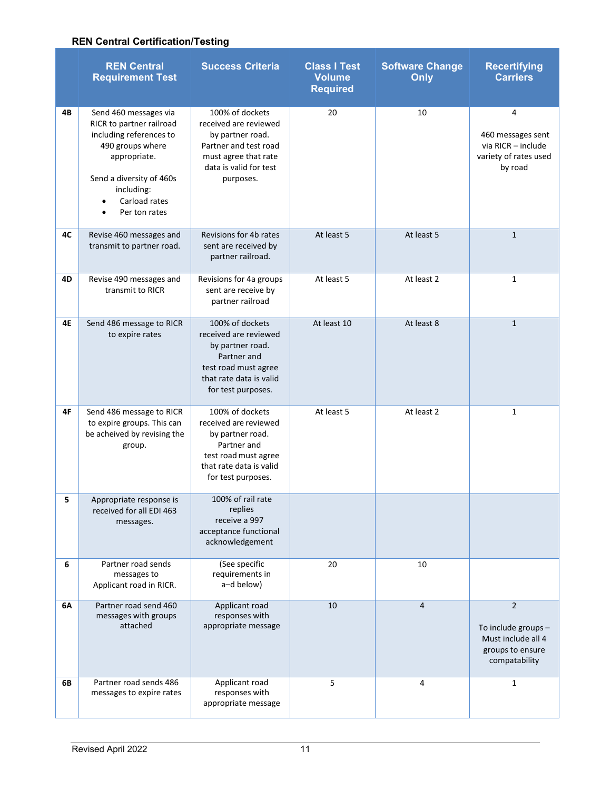#### **REN Central Certification/Testing**

|    | <b>REN Central</b><br><b>Requirement Test</b>                                                                                                                                                             | <b>Success Criteria</b>                                                                                                                              | <b>Class I Test</b><br><b>Volume</b><br><b>Required</b> | <b>Software Change</b><br>Only | <b>Recertifying</b><br><b>Carriers</b>                                                           |
|----|-----------------------------------------------------------------------------------------------------------------------------------------------------------------------------------------------------------|------------------------------------------------------------------------------------------------------------------------------------------------------|---------------------------------------------------------|--------------------------------|--------------------------------------------------------------------------------------------------|
| 4В | Send 460 messages via<br>RICR to partner railroad<br>including references to<br>490 groups where<br>appropriate.<br>Send a diversity of 460s<br>including:<br>Carload rates<br>Per ton rates<br>$\bullet$ | 100% of dockets<br>received are reviewed<br>by partner road.<br>Partner and test road<br>must agree that rate<br>data is valid for test<br>purposes. | 20                                                      | 10                             | 4<br>460 messages sent<br>via RICR - include<br>variety of rates used<br>by road                 |
| 4C | Revise 460 messages and<br>transmit to partner road.                                                                                                                                                      | Revisions for 4b rates<br>sent are received by<br>partner railroad.                                                                                  | At least 5                                              | At least 5                     | $\mathbf{1}$                                                                                     |
| 4D | Revise 490 messages and<br>transmit to RICR                                                                                                                                                               | Revisions for 4a groups<br>sent are receive by<br>partner railroad                                                                                   | At least 5                                              | At least 2                     | $\mathbf{1}$                                                                                     |
| 4E | Send 486 message to RICR<br>to expire rates                                                                                                                                                               | 100% of dockets<br>received are reviewed<br>by partner road.<br>Partner and<br>test road must agree<br>that rate data is valid<br>for test purposes. | At least 10                                             | At least 8                     | $\mathbf{1}$                                                                                     |
| 4F | Send 486 message to RICR<br>to expire groups. This can<br>be acheived by revising the<br>group.                                                                                                           | 100% of dockets<br>received are reviewed<br>by partner road.<br>Partner and<br>test road must agree<br>that rate data is valid<br>for test purposes. | At least 5                                              | At least 2                     | $\mathbf{1}$                                                                                     |
| 5. | Appropriate response is<br>received for all EDI 463<br>messages.                                                                                                                                          | 100% of rail rate<br>replies<br>receive a 997<br>acceptance functional<br>acknowledgement                                                            |                                                         |                                |                                                                                                  |
| 6  | Partner road sends<br>messages to<br>Applicant road in RICR.                                                                                                                                              | (See specific<br>requirements in<br>a-d below)                                                                                                       | 20                                                      | 10                             |                                                                                                  |
| 6A | Partner road send 460<br>messages with groups<br>attached                                                                                                                                                 | Applicant road<br>responses with<br>appropriate message                                                                                              | 10                                                      | $\overline{4}$                 | $\overline{2}$<br>To include groups -<br>Must include all 4<br>groups to ensure<br>compatability |
| 6В | Partner road sends 486<br>messages to expire rates                                                                                                                                                        | Applicant road<br>responses with<br>appropriate message                                                                                              | 5                                                       | 4                              | $\mathbf 1$                                                                                      |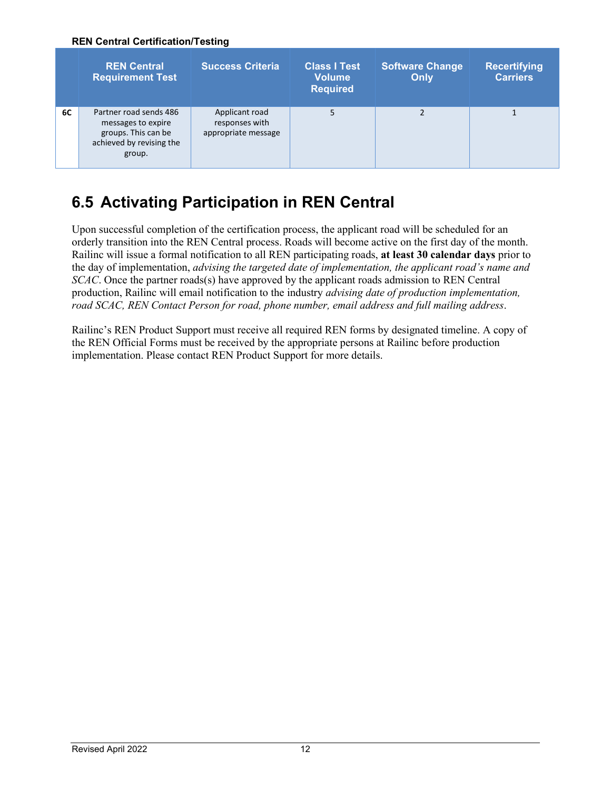#### **REN Central Certification/Testing**

|    | <b>REN Central</b><br><b>Requirement Test</b>                                                             | <b>Success Criteria</b>                                 | <b>Class I Test</b><br><b>Volume</b><br><b>Required</b> | <b>Software Change</b><br>Only | <b>Recertifying</b><br><b>Carriers</b> |
|----|-----------------------------------------------------------------------------------------------------------|---------------------------------------------------------|---------------------------------------------------------|--------------------------------|----------------------------------------|
| 6C | Partner road sends 486<br>messages to expire<br>groups. This can be<br>achieved by revising the<br>group. | Applicant road<br>responses with<br>appropriate message | 5                                                       |                                |                                        |

#### <span id="page-12-0"></span>**6.5 Activating Participation in REN Central**

Upon successful completion of the certification process, the applicant road will be scheduled for an orderly transition into the REN Central process. Roads will become active on the first day of the month. Railinc will issue a formal notification to all REN participating roads, **at least 30 calendar days** prior to the day of implementation, *advising the targeted date of implementation, the applicant road's name and SCAC*. Once the partner roads(s) have approved by the applicant roads admission to REN Central production, Railinc will email notification to the industry *advising date of production implementation, road SCAC, REN Contact Person for road, phone number, email address and full mailing address*.

Railinc's REN Product Support must receive all required REN forms by designated timeline. A copy of the REN Official Forms must be received by the appropriate persons at Railinc before production implementation. Please contact REN Product Support for more details.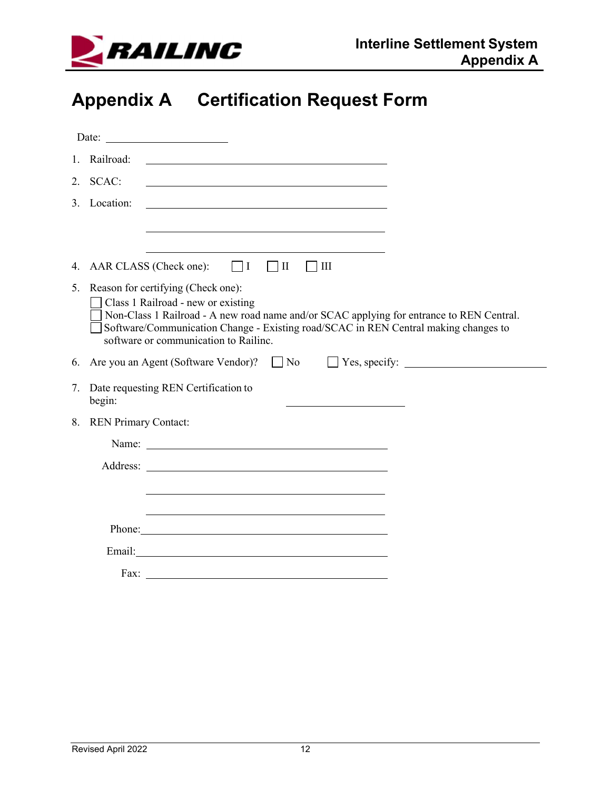

# <span id="page-13-0"></span>**Appendix A Certification Request Form**

|    |                             | Date: $\qquad \qquad$                                                                                                                                                                                                                                                                                   |
|----|-----------------------------|---------------------------------------------------------------------------------------------------------------------------------------------------------------------------------------------------------------------------------------------------------------------------------------------------------|
|    | 1. Railroad:                |                                                                                                                                                                                                                                                                                                         |
|    | 2. SCAC:                    |                                                                                                                                                                                                                                                                                                         |
|    | 3. Location:                |                                                                                                                                                                                                                                                                                                         |
|    |                             |                                                                                                                                                                                                                                                                                                         |
|    |                             |                                                                                                                                                                                                                                                                                                         |
|    |                             | 4. AAR CLASS (Check one): $\Box$ I<br>$\Box$ III                                                                                                                                                                                                                                                        |
|    |                             | 5. Reason for certifying (Check one):<br>Class 1 Railroad - new or existing<br>Non-Class 1 Railroad - A new road name and/or SCAC applying for entrance to REN Central.<br>Software/Communication Change - Existing road/SCAC in REN Central making changes to<br>software or communication to Railinc. |
|    |                             | 6. Are you an Agent (Software Vendor)? $\Box$ No $\Box$ Yes, specify: $\Box$                                                                                                                                                                                                                            |
|    | begin:                      | 7. Date requesting REN Certification to                                                                                                                                                                                                                                                                 |
| 8. | <b>REN Primary Contact:</b> |                                                                                                                                                                                                                                                                                                         |
|    |                             | Name: Name and the set of the set of the set of the set of the set of the set of the set of the set of the set of the set of the set of the set of the set of the set of the set of the set of the set of the set of the set o                                                                          |
|    |                             |                                                                                                                                                                                                                                                                                                         |
|    |                             |                                                                                                                                                                                                                                                                                                         |
|    |                             |                                                                                                                                                                                                                                                                                                         |
|    |                             | Phone: Note and the second contract of the second contract of the second contract of the second contract of the second contract of the second contract of the second contract of the second contract of the second contract of                                                                          |
|    |                             |                                                                                                                                                                                                                                                                                                         |
|    |                             | Fax: $\qquad \qquad \qquad$                                                                                                                                                                                                                                                                             |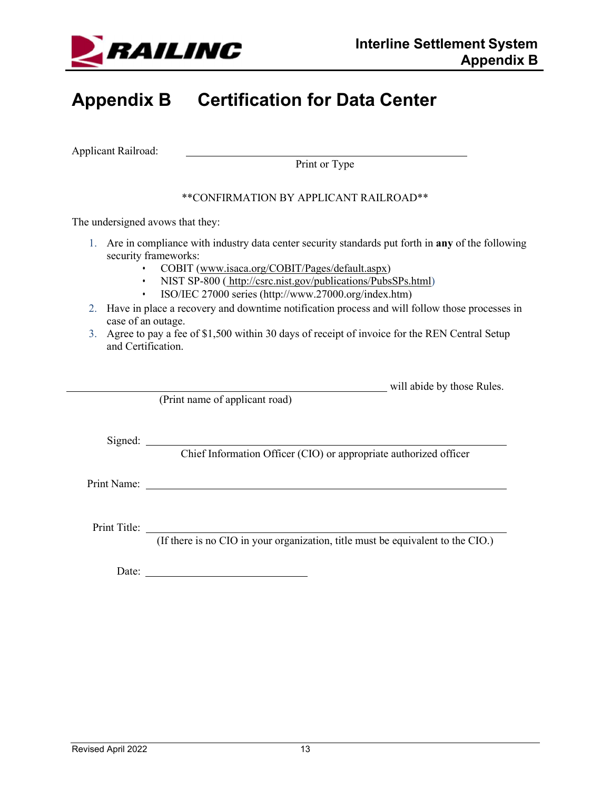

# <span id="page-14-0"></span>**Appendix B Certification for Data Center**

Applicant Railroad:

Print or Type

#### \*\*CONFIRMATION BY APPLICANT RAILROAD\*\*

The undersigned avows that they:

- 1. Are in compliance with industry data center security standards put forth in **any** of the following security frameworks:
	- COBIT [\(www.isaca.org/COBIT/Pages/default.aspx\)](http://www.isaca.org/COBIT/Pages/default.aspx))
	- NIST SP-800 ([http://csrc.nist.gov/publications/PubsSPs.html\)](http://csrc.nist.gov/publications/PubsSPs.html))
	- ISO/IEC 27000 series [\(http://www.27000.org/index.htm\)](http://www.27000.org/index.htm))
- 2. Have in place a recovery and downtime notification process and will follow those processes in case of an outage.
- 3. Agree to pay a fee of \$1,500 within 30 days of receipt of invoice for the REN Central Setup and Certification.

will abide by those Rules.

(Print name of applicant road)

Signed:

Chief Information Officer (CIO) or appropriate authorized officer

Print Name:

Print Title:

(If there is no CIO in your organization, title must be equivalent to the CIO.)

Date: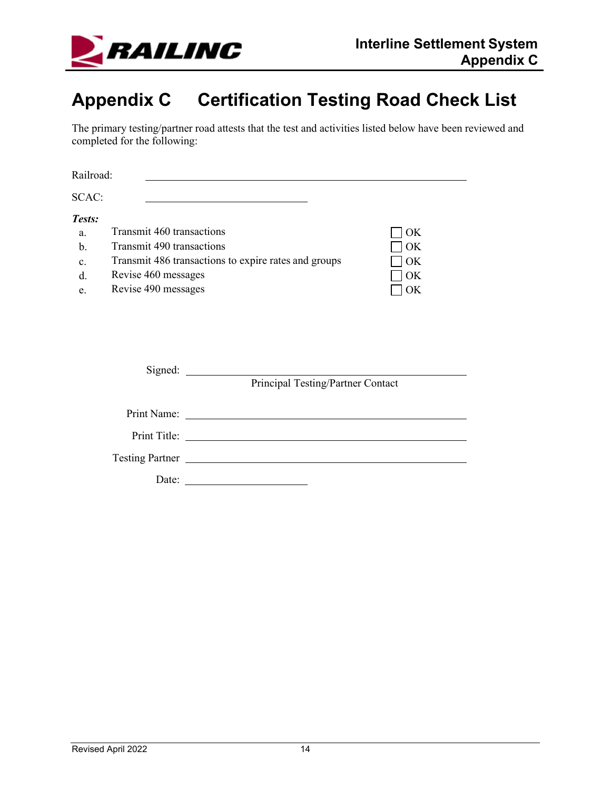

# <span id="page-15-0"></span>**Appendix C Certification Testing Road Check List**

The primary testing/partner road attests that the test and activities listed below have been reviewed and completed for the following:

| Railroad:                                                     |                                                                                                      |                                                      |                            |
|---------------------------------------------------------------|------------------------------------------------------------------------------------------------------|------------------------------------------------------|----------------------------|
| SCAC:                                                         |                                                                                                      |                                                      |                            |
| Tests:<br>$a_{\cdot}$<br>$b$<br>$\mathbf{c}$ .<br>$d$ .<br>e. | Transmit 460 transactions<br>Transmit 490 transactions<br>Revise 460 messages<br>Revise 490 messages | Transmit 486 transactions to expire rates and groups | OK<br>OK<br>OK<br>OK<br>OK |
|                                                               |                                                                                                      | Principal Testing/Partner Contact                    |                            |
|                                                               |                                                                                                      |                                                      |                            |
|                                                               |                                                                                                      |                                                      |                            |
|                                                               |                                                                                                      | Testing Partner                                      |                            |
|                                                               | Date:                                                                                                |                                                      |                            |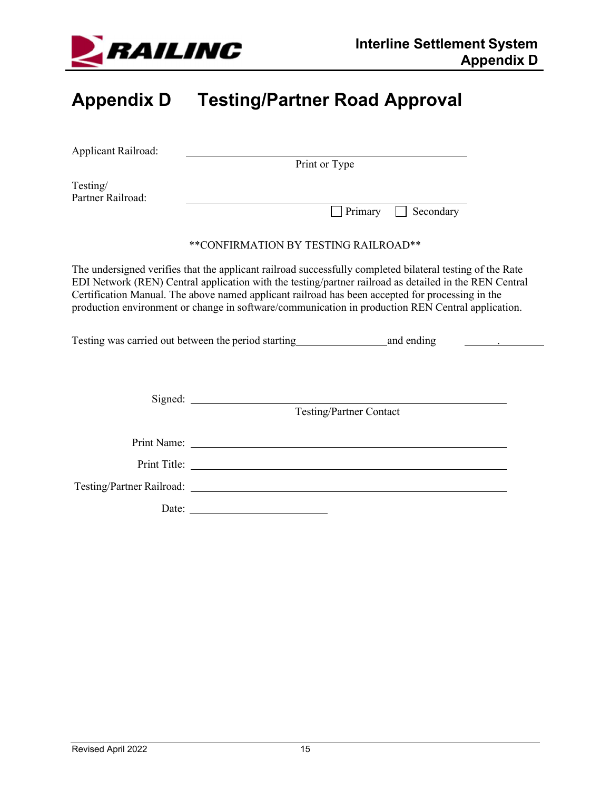

# <span id="page-16-0"></span>**Appendix D Testing/Partner Road Approval**

| Applicant Railroad:           |                                                                                                                                                                                                                                                                                                                                                                                                                              |  |
|-------------------------------|------------------------------------------------------------------------------------------------------------------------------------------------------------------------------------------------------------------------------------------------------------------------------------------------------------------------------------------------------------------------------------------------------------------------------|--|
|                               | Print or Type                                                                                                                                                                                                                                                                                                                                                                                                                |  |
| Testing/<br>Partner Railroad: | Secondary<br>Primary<br>$\mathbf{1}$                                                                                                                                                                                                                                                                                                                                                                                         |  |
|                               | **CONFIRMATION BY TESTING RAILROAD**                                                                                                                                                                                                                                                                                                                                                                                         |  |
|                               | The undersigned verifies that the applicant railroad successfully completed bilateral testing of the Rate<br>EDI Network (REN) Central application with the testing/partner railroad as detailed in the REN Central<br>Certification Manual. The above named applicant railroad has been accepted for processing in the<br>production environment or change in software/communication in production REN Central application. |  |
|                               |                                                                                                                                                                                                                                                                                                                                                                                                                              |  |
|                               | <b>Testing/Partner Contact</b>                                                                                                                                                                                                                                                                                                                                                                                               |  |
|                               | Print Name: Name: Name: Name: Name: Name: Name: Name: Name: Name: Name: Name: Name: Name: Name: Name: Name: Name: Name: Name: Name: Name: Name: Name: Name: Name: Name: Name: Name: Name: Name: Name: Name: Name: Name: Name:                                                                                                                                                                                                |  |
|                               |                                                                                                                                                                                                                                                                                                                                                                                                                              |  |
|                               |                                                                                                                                                                                                                                                                                                                                                                                                                              |  |
|                               |                                                                                                                                                                                                                                                                                                                                                                                                                              |  |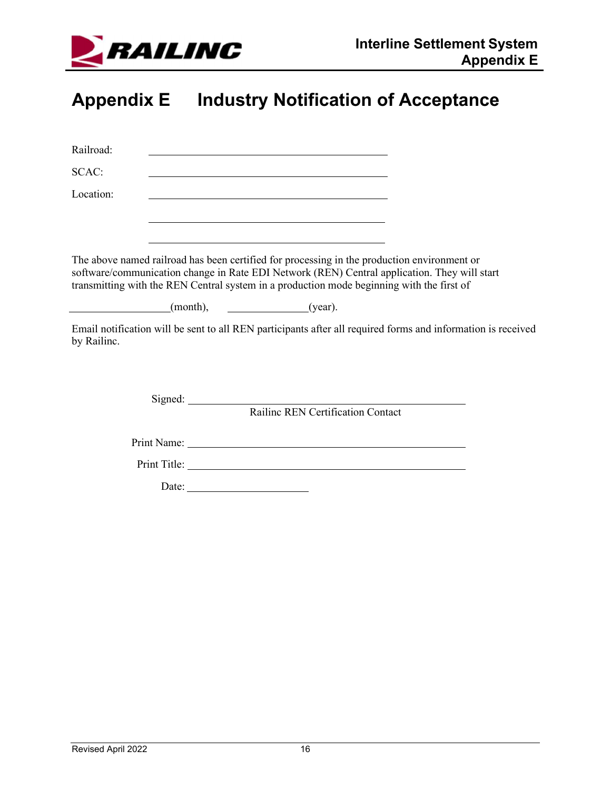

# <span id="page-17-0"></span>**Appendix E Industry Notification of Acceptance**

| Railroad:                                                                                                                                                                                                                                                                                |                       |                                                                                                                                                                                                                                                                           |                                                                                                                                                                                                                               |  |
|------------------------------------------------------------------------------------------------------------------------------------------------------------------------------------------------------------------------------------------------------------------------------------------|-----------------------|---------------------------------------------------------------------------------------------------------------------------------------------------------------------------------------------------------------------------------------------------------------------------|-------------------------------------------------------------------------------------------------------------------------------------------------------------------------------------------------------------------------------|--|
| SCAC:                                                                                                                                                                                                                                                                                    |                       |                                                                                                                                                                                                                                                                           |                                                                                                                                                                                                                               |  |
| Location:                                                                                                                                                                                                                                                                                |                       | <u> 1989 - Johann Stoff, deutscher Stoffen und der Stoffen und der Stoffen und der Stoffen und der Stoffen und der</u>                                                                                                                                                    |                                                                                                                                                                                                                               |  |
|                                                                                                                                                                                                                                                                                          |                       |                                                                                                                                                                                                                                                                           |                                                                                                                                                                                                                               |  |
| The above named railroad has been certified for processing in the production environment or<br>software/communication change in Rate EDI Network (REN) Central application. They will start<br>transmitting with the REN Central system in a production mode beginning with the first of |                       | <u> 1989 - Andrea Stadt Britain, amerikansk politik (* 1958)</u>                                                                                                                                                                                                          |                                                                                                                                                                                                                               |  |
| $(month),$ $(year).$                                                                                                                                                                                                                                                                     |                       |                                                                                                                                                                                                                                                                           |                                                                                                                                                                                                                               |  |
| Email notification will be sent to all REN participants after all required forms and information is received<br>by Railinc.                                                                                                                                                              |                       |                                                                                                                                                                                                                                                                           |                                                                                                                                                                                                                               |  |
|                                                                                                                                                                                                                                                                                          |                       | Signed: <u>contract and contract and contract and contract and contract and contract and contract and contract and contract and contract and contract and contract and contract and contract and contract and contract and contr</u><br>Railine REN Certification Contact |                                                                                                                                                                                                                               |  |
|                                                                                                                                                                                                                                                                                          |                       |                                                                                                                                                                                                                                                                           | Print Name: University of the Contract of the Contract of the Contract of the Contract of the Contract of the Contract of the Contract of the Contract of the Contract of the Contract of the Contract of the Contract of the |  |
|                                                                                                                                                                                                                                                                                          |                       |                                                                                                                                                                                                                                                                           |                                                                                                                                                                                                                               |  |
|                                                                                                                                                                                                                                                                                          | Date: $\qquad \qquad$ |                                                                                                                                                                                                                                                                           |                                                                                                                                                                                                                               |  |
|                                                                                                                                                                                                                                                                                          |                       |                                                                                                                                                                                                                                                                           |                                                                                                                                                                                                                               |  |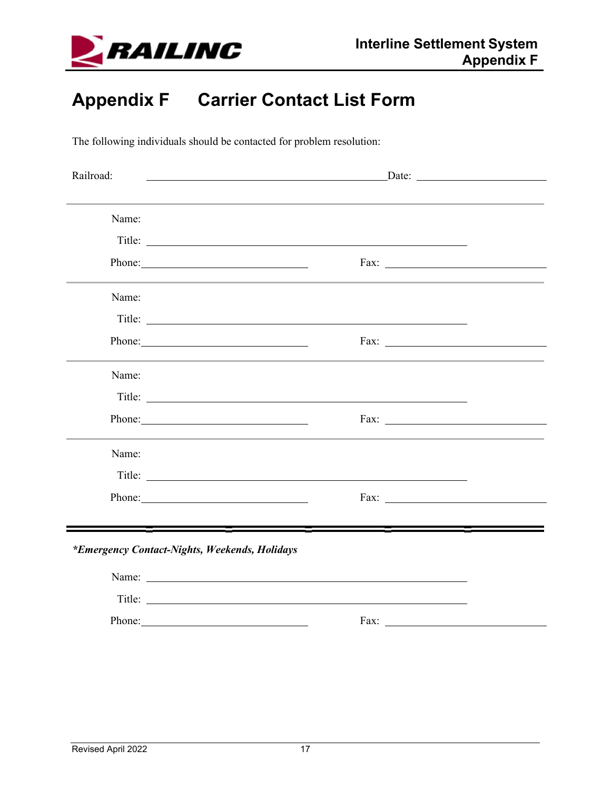

# <span id="page-18-0"></span>**Appendix F Carrier Contact List Form**

The following individuals should be contacted for problem resolution:

| Railroad:                                     | <u>Date:</u> <u>Date:</u> <u>Date:</u> 2004                                                                                                                                                                                          |  |
|-----------------------------------------------|--------------------------------------------------------------------------------------------------------------------------------------------------------------------------------------------------------------------------------------|--|
|                                               |                                                                                                                                                                                                                                      |  |
| Name:                                         |                                                                                                                                                                                                                                      |  |
|                                               | Title:                                                                                                                                                                                                                               |  |
| Phone:                                        |                                                                                                                                                                                                                                      |  |
| Name:                                         |                                                                                                                                                                                                                                      |  |
|                                               |                                                                                                                                                                                                                                      |  |
| Phone:                                        |                                                                                                                                                                                                                                      |  |
| Name:                                         |                                                                                                                                                                                                                                      |  |
|                                               | Title: <u>the contract of the contract of the contract of the contract of the contract of the contract of the contract of the contract of the contract of the contract of the contract of the contract of the contract of the co</u> |  |
| Phone:                                        |                                                                                                                                                                                                                                      |  |
| Name:                                         |                                                                                                                                                                                                                                      |  |
|                                               | Title: <u>the contract of the contract of the contract of the contract of the contract of the contract of the contract of the contract of the contract of the contract of the contract of the contract of the contract of the co</u> |  |
| Phone:                                        |                                                                                                                                                                                                                                      |  |
|                                               |                                                                                                                                                                                                                                      |  |
| *Emergency Contact-Nights, Weekends, Holidays |                                                                                                                                                                                                                                      |  |
|                                               |                                                                                                                                                                                                                                      |  |
|                                               | Title:                                                                                                                                                                                                                               |  |
| Phone:                                        | Fax:<br><u> 1977 - John Stein, Amerikaansk kanton (</u>                                                                                                                                                                              |  |